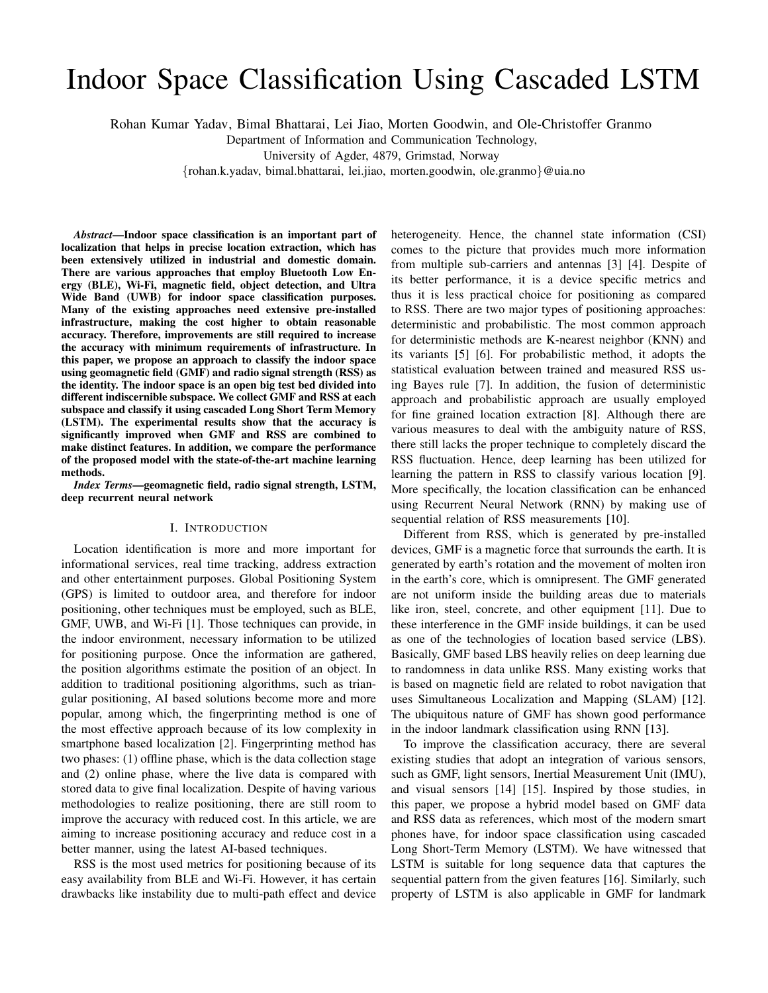# Indoor Space Classification Using Cascaded LSTM

Rohan Kumar Yadav, Bimal Bhattarai, Lei Jiao, Morten Goodwin, and Ole-Christoffer Granmo

Department of Information and Communication Technology,

University of Agder, 4879, Grimstad, Norway

{rohan.k.yadav, bimal.bhattarai, lei.jiao, morten.goodwin, ole.granmo}@uia.no

*Abstract*—Indoor space classification is an important part of localization that helps in precise location extraction, which has been extensively utilized in industrial and domestic domain. There are various approaches that employ Bluetooth Low Energy (BLE), Wi-Fi, magnetic field, object detection, and Ultra Wide Band (UWB) for indoor space classification purposes. Many of the existing approaches need extensive pre-installed infrastructure, making the cost higher to obtain reasonable accuracy. Therefore, improvements are still required to increase the accuracy with minimum requirements of infrastructure. In this paper, we propose an approach to classify the indoor space using geomagnetic field (GMF) and radio signal strength (RSS) as the identity. The indoor space is an open big test bed divided into different indiscernible subspace. We collect GMF and RSS at each subspace and classify it using cascaded Long Short Term Memory (LSTM). The experimental results show that the accuracy is significantly improved when GMF and RSS are combined to make distinct features. In addition, we compare the performance of the proposed model with the state-of-the-art machine learning methods.

*Index Terms*—geomagnetic field, radio signal strength, LSTM, deep recurrent neural network

#### I. INTRODUCTION

Location identification is more and more important for informational services, real time tracking, address extraction and other entertainment purposes. Global Positioning System (GPS) is limited to outdoor area, and therefore for indoor positioning, other techniques must be employed, such as BLE, GMF, UWB, and Wi-Fi [1]. Those techniques can provide, in the indoor environment, necessary information to be utilized for positioning purpose. Once the information are gathered, the position algorithms estimate the position of an object. In addition to traditional positioning algorithms, such as triangular positioning, AI based solutions become more and more popular, among which, the fingerprinting method is one of the most effective approach because of its low complexity in smartphone based localization [2]. Fingerprinting method has two phases: (1) offline phase, which is the data collection stage and (2) online phase, where the live data is compared with stored data to give final localization. Despite of having various methodologies to realize positioning, there are still room to improve the accuracy with reduced cost. In this article, we are aiming to increase positioning accuracy and reduce cost in a better manner, using the latest AI-based techniques.

RSS is the most used metrics for positioning because of its easy availability from BLE and Wi-Fi. However, it has certain drawbacks like instability due to multi-path effect and device heterogeneity. Hence, the channel state information (CSI) comes to the picture that provides much more information from multiple sub-carriers and antennas [3] [4]. Despite of its better performance, it is a device specific metrics and thus it is less practical choice for positioning as compared to RSS. There are two major types of positioning approaches: deterministic and probabilistic. The most common approach for deterministic methods are K-nearest neighbor (KNN) and its variants [5] [6]. For probabilistic method, it adopts the statistical evaluation between trained and measured RSS using Bayes rule [7]. In addition, the fusion of deterministic approach and probabilistic approach are usually employed for fine grained location extraction [8]. Although there are various measures to deal with the ambiguity nature of RSS, there still lacks the proper technique to completely discard the RSS fluctuation. Hence, deep learning has been utilized for learning the pattern in RSS to classify various location [9]. More specifically, the location classification can be enhanced using Recurrent Neural Network (RNN) by making use of sequential relation of RSS measurements [10].

Different from RSS, which is generated by pre-installed devices, GMF is a magnetic force that surrounds the earth. It is generated by earth's rotation and the movement of molten iron in the earth's core, which is omnipresent. The GMF generated are not uniform inside the building areas due to materials like iron, steel, concrete, and other equipment [11]. Due to these interference in the GMF inside buildings, it can be used as one of the technologies of location based service (LBS). Basically, GMF based LBS heavily relies on deep learning due to randomness in data unlike RSS. Many existing works that is based on magnetic field are related to robot navigation that uses Simultaneous Localization and Mapping (SLAM) [12]. The ubiquitous nature of GMF has shown good performance in the indoor landmark classification using RNN [13].

To improve the classification accuracy, there are several existing studies that adopt an integration of various sensors, such as GMF, light sensors, Inertial Measurement Unit (IMU), and visual sensors [14] [15]. Inspired by those studies, in this paper, we propose a hybrid model based on GMF data and RSS data as references, which most of the modern smart phones have, for indoor space classification using cascaded Long Short-Term Memory (LSTM). We have witnessed that LSTM is suitable for long sequence data that captures the sequential pattern from the given features [16]. Similarly, such property of LSTM is also applicable in GMF for landmark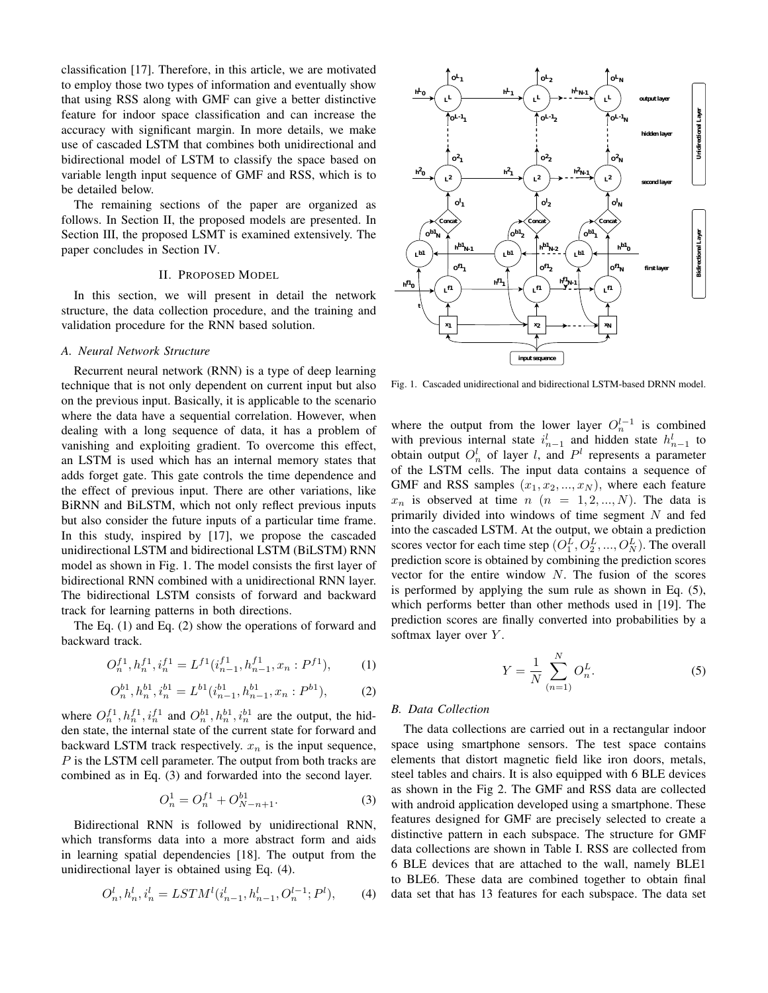classification [17]. Therefore, in this article, we are motivated to employ those two types of information and eventually show that using RSS along with GMF can give a better distinctive feature for indoor space classification and can increase the accuracy with significant margin. In more details, we make use of cascaded LSTM that combines both unidirectional and bidirectional model of LSTM to classify the space based on variable length input sequence of GMF and RSS, which is to be detailed below.

The remaining sections of the paper are organized as follows. In Section II, the proposed models are presented. In Section III, the proposed LSMT is examined extensively. The paper concludes in Section IV.

## II. PROPOSED MODEL

In this section, we will present in detail the network structure, the data collection procedure, and the training and validation procedure for the RNN based solution.

#### *A. Neural Network Structure*

Recurrent neural network (RNN) is a type of deep learning technique that is not only dependent on current input but also on the previous input. Basically, it is applicable to the scenario where the data have a sequential correlation. However, when dealing with a long sequence of data, it has a problem of vanishing and exploiting gradient. To overcome this effect, an LSTM is used which has an internal memory states that adds forget gate. This gate controls the time dependence and the effect of previous input. There are other variations, like BiRNN and BiLSTM, which not only reflect previous inputs but also consider the future inputs of a particular time frame. In this study, inspired by [17], we propose the cascaded unidirectional LSTM and bidirectional LSTM (BiLSTM) RNN model as shown in Fig. 1. The model consists the first layer of bidirectional RNN combined with a unidirectional RNN layer. The bidirectional LSTM consists of forward and backward track for learning patterns in both directions.

The Eq. (1) and Eq. (2) show the operations of forward and backward track.

$$
O_n^{f1}, h_n^{f1}, i_n^{f1} = L^{f1}(i_{n-1}^{f1}, h_{n-1}^{f1}, x_n : P^{f1}), \tag{1}
$$

$$
O_n^{b1}, h_n^{b1}, i_n^{b1} = L^{b1}(i_{n-1}^{b1}, h_{n-1}^{b1}, x_n : P^{b1}),
$$
 (2)

where  $O_n^{f_1}, h_n^{f_1}, i_n^{f_1}$  and  $O_n^{b_1}, h_n^{b_1}, i_n^{b_1}$  are the output, the hidden state, the internal state of the current state for forward and backward LSTM track respectively.  $x_n$  is the input sequence, P is the LSTM cell parameter. The output from both tracks are combined as in Eq. (3) and forwarded into the second layer.

$$
O_n^1 = O_n^{f1} + O_{N-n+1}^{b1}.
$$
 (3)

Bidirectional RNN is followed by unidirectional RNN, which transforms data into a more abstract form and aids in learning spatial dependencies [18]. The output from the unidirectional layer is obtained using Eq. (4).

$$
O_n^l, h_n^l, i_n^l = LSTM^l(i_{n-1}^l, h_{n-1}^l, O_n^{l-1}; P^l),\tag{4}
$$



Fig. 1. Cascaded unidirectional and bidirectional LSTM-based DRNN model.

where the output from the lower layer  $O_n^{l-1}$  is combined with previous internal state  $i_{n-1}^l$  and hidden state  $h_{n-1}^l$  to obtain output  $O_n^l$  of layer l, and  $P^l$  represents a parameter of the LSTM cells. The input data contains a sequence of GMF and RSS samples  $(x_1, x_2, ..., x_N)$ , where each feature  $x_n$  is observed at time  $n (n = 1, 2, ..., N)$ . The data is primarily divided into windows of time segment  $N$  and fed into the cascaded LSTM. At the output, we obtain a prediction scores vector for each time step  $(O_1^L, O_2^L, ..., O_N^L)$ . The overall prediction score is obtained by combining the prediction scores vector for the entire window  $N$ . The fusion of the scores is performed by applying the sum rule as shown in Eq. (5), which performs better than other methods used in [19]. The prediction scores are finally converted into probabilities by a softmax layer over Y.

$$
Y = \frac{1}{N} \sum_{(n=1)}^{N} O_n^L.
$$
 (5)

## *B. Data Collection*

The data collections are carried out in a rectangular indoor space using smartphone sensors. The test space contains elements that distort magnetic field like iron doors, metals, steel tables and chairs. It is also equipped with 6 BLE devices as shown in the Fig 2. The GMF and RSS data are collected with android application developed using a smartphone. These features designed for GMF are precisely selected to create a distinctive pattern in each subspace. The structure for GMF data collections are shown in Table I. RSS are collected from 6 BLE devices that are attached to the wall, namely BLE1 to BLE6. These data are combined together to obtain final data set that has 13 features for each subspace. The data set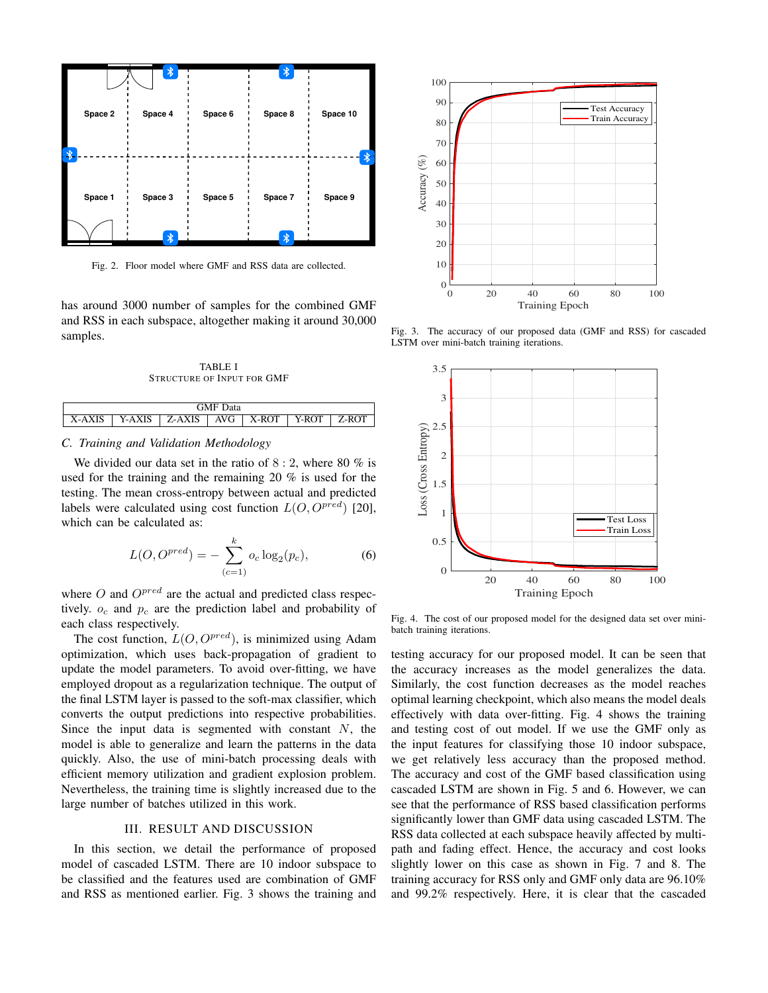![](_page_2_Figure_0.jpeg)

Fig. 2. Floor model where GMF and RSS data are collected.

has around 3000 number of samples for the combined GMF and RSS in each subspace, altogether making it around 30,000 samples.

TABLE I STRUCTURE OF INPUT FOR GMF

| $-1$<br>ata<br>$\mathbf{r}$ N/I |   |                           |                     |                 |         |    |  |
|---------------------------------|---|---------------------------|---------------------|-----------------|---------|----|--|
|                                 | л | гc<br>$\Lambda$<br>Y<br>- | <sup>7</sup> G<br>л | .ROT<br>$X_{-}$ | D.<br>v | D. |  |

#### *C. Training and Validation Methodology*

We divided our data set in the ratio of  $8:2$ , where  $80\%$  is used for the training and the remaining 20 % is used for the testing. The mean cross-entropy between actual and predicted labels were calculated using cost function  $L(O, O^{pred})$  [20], which can be calculated as:

$$
L(O, O^{pred}) = -\sum_{(c=1)}^{k} o_c \log_2(p_c),
$$
 (6)

where  $O$  and  $O^{pred}$  are the actual and predicted class respectively.  $o_c$  and  $p_c$  are the prediction label and probability of each class respectively.

The cost function,  $L(O, O^{pred})$ , is minimized using Adam optimization, which uses back-propagation of gradient to update the model parameters. To avoid over-fitting, we have employed dropout as a regularization technique. The output of the final LSTM layer is passed to the soft-max classifier, which converts the output predictions into respective probabilities. Since the input data is segmented with constant  $N$ , the model is able to generalize and learn the patterns in the data quickly. Also, the use of mini-batch processing deals with efficient memory utilization and gradient explosion problem. Nevertheless, the training time is slightly increased due to the large number of batches utilized in this work.

### III. RESULT AND DISCUSSION

In this section, we detail the performance of proposed model of cascaded LSTM. There are 10 indoor subspace to be classified and the features used are combination of GMF and RSS as mentioned earlier. Fig. 3 shows the training and

![](_page_2_Figure_12.jpeg)

Fig. 3. The accuracy of our proposed data (GMF and RSS) for cascaded LSTM over mini-batch training iterations.

![](_page_2_Figure_14.jpeg)

Fig. 4. The cost of our proposed model for the designed data set over minibatch training iterations.

testing accuracy for our proposed model. It can be seen that the accuracy increases as the model generalizes the data. Similarly, the cost function decreases as the model reaches optimal learning checkpoint, which also means the model deals effectively with data over-fitting. Fig. 4 shows the training and testing cost of out model. If we use the GMF only as the input features for classifying those 10 indoor subspace, we get relatively less accuracy than the proposed method. The accuracy and cost of the GMF based classification using cascaded LSTM are shown in Fig. 5 and 6. However, we can see that the performance of RSS based classification performs significantly lower than GMF data using cascaded LSTM. The RSS data collected at each subspace heavily affected by multipath and fading effect. Hence, the accuracy and cost looks slightly lower on this case as shown in Fig. 7 and 8. The training accuracy for RSS only and GMF only data are 96.10% and 99.2% respectively. Here, it is clear that the cascaded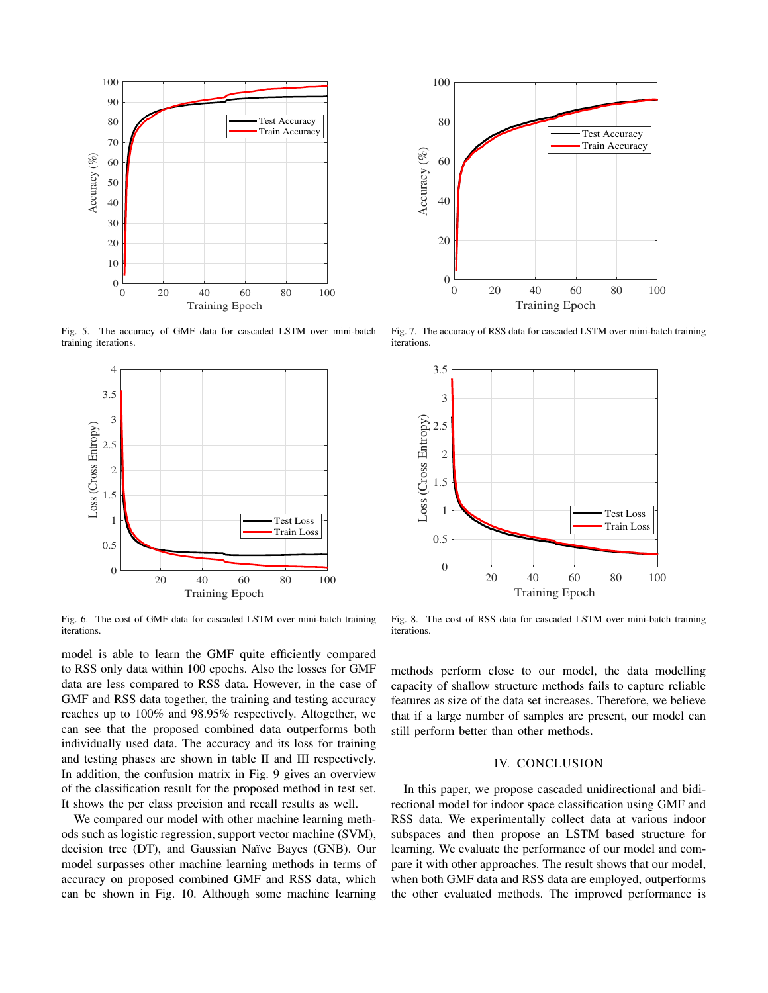![](_page_3_Figure_0.jpeg)

Fig. 5. The accuracy of GMF data for cascaded LSTM over mini-batch training iterations.

![](_page_3_Figure_2.jpeg)

Fig. 6. The cost of GMF data for cascaded LSTM over mini-batch training iterations.

model is able to learn the GMF quite efficiently compared to RSS only data within 100 epochs. Also the losses for GMF data are less compared to RSS data. However, in the case of GMF and RSS data together, the training and testing accuracy reaches up to 100% and 98.95% respectively. Altogether, we can see that the proposed combined data outperforms both individually used data. The accuracy and its loss for training and testing phases are shown in table II and III respectively. In addition, the confusion matrix in Fig. 9 gives an overview of the classification result for the proposed method in test set. It shows the per class precision and recall results as well.

We compared our model with other machine learning methods such as logistic regression, support vector machine (SVM), decision tree (DT), and Gaussian Naïve Bayes (GNB). Our model surpasses other machine learning methods in terms of accuracy on proposed combined GMF and RSS data, which can be shown in Fig. 10. Although some machine learning

![](_page_3_Figure_6.jpeg)

Fig. 7. The accuracy of RSS data for cascaded LSTM over mini-batch training iterations.

![](_page_3_Figure_8.jpeg)

Fig. 8. The cost of RSS data for cascaded LSTM over mini-batch training iterations.

methods perform close to our model, the data modelling capacity of shallow structure methods fails to capture reliable features as size of the data set increases. Therefore, we believe that if a large number of samples are present, our model can still perform better than other methods.

#### IV. CONCLUSION

In this paper, we propose cascaded unidirectional and bidirectional model for indoor space classification using GMF and RSS data. We experimentally collect data at various indoor subspaces and then propose an LSTM based structure for learning. We evaluate the performance of our model and compare it with other approaches. The result shows that our model, when both GMF data and RSS data are employed, outperforms the other evaluated methods. The improved performance is